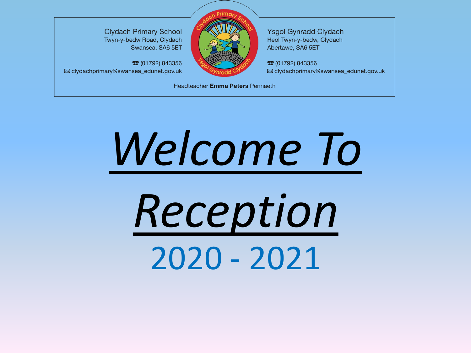**Clydach Primary School** Twyn-y-bedw Road, Clydach Swansea, SA6 5ET

**T** (01792) 843356 ⊠ clydachprimary@swansea\_edunet.gov.uk



**Ysgol Gynradd Clydach** Heol Twyn-y-bedw, Clydach Abertawe, SA6 5ET

**T** (01792) 843356 ⊠ clydachprimary@swansea\_edunet.gov.uk

Headteacher Emma Peters Pennaeth

# *Welcome To*

*Reception* 2020 - 2021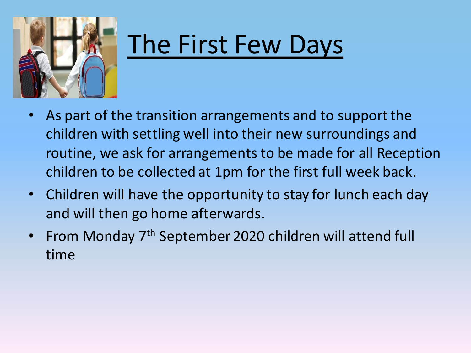

### The First Few Days

- As part of the transition arrangements and to support the children with settling well into their new surroundings and routine, we ask for arrangements to be made for all Reception children to be collected at 1pm for the first full week back.
- Children will have the opportunity to stay for lunch each day and will then go home afterwards.
- From Monday 7<sup>th</sup> September 2020 children will attend full time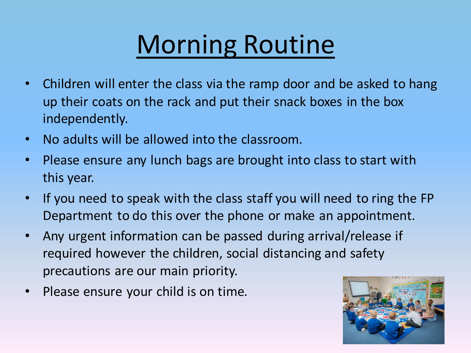# Morning Routine

- Children will enter the class via the ramp door and be asked to hang up their coats on the rack and put their snack boxes in the box independently.
- No adults will be allowed into the classroom.
- Please ensure any lunch bags are brought into class to start with this year.
- If you need to speak with the class staff you will need to ring the FP Department to do this over the phone or make an appointment.
- Any urgent information can be passed during arrival/release if required however the children, social distancing and safety precautions are our main priority.
- Please ensure your child is on time.

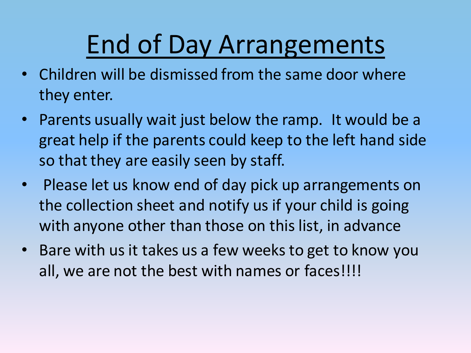# End of Day Arrangements

- Children will be dismissed from the same door where they enter.
- Parents usually wait just below the ramp. It would be a great help if the parents could keep to the left hand side so that they are easily seen by staff.
- Please let us know end of day pick up arrangements on the collection sheet and notify us if your child is going with anyone other than those on this list, in advance
- Bare with us it takes us a few weeks to get to know you all, we are not the best with names or faces!!!!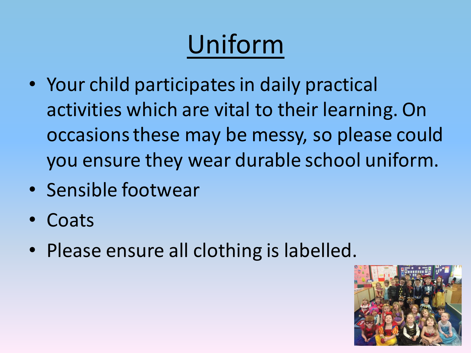# Uniform

- Your child participates in daily practical activities which are vital to their learning. On occasions these may be messy, so please could you ensure they wear durable school uniform.
- Sensible footwear
- Coats
- Please ensure all clothing is labelled.

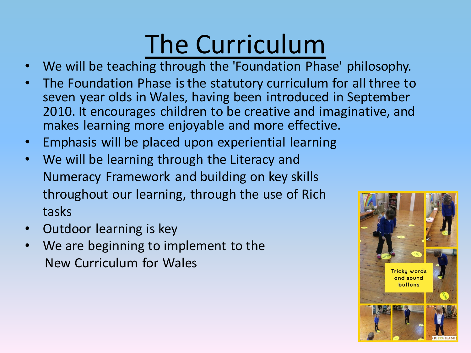# The Curriculum

- We will be teaching through the 'Foundation Phase' philosophy.
- The Foundation Phase is the statutory curriculum for all three to seven year olds in Wales, having been introduced in September 2010. It encourages children to be creative and imaginative, and makes learning more enjoyable and more effective.
- Emphasis will be placed upon experiential learning
- We will be learning through the Literacy and Numeracy Framework and building on key skills throughout our learning, through the use of Rich tasks
- Outdoor learning is key
- We are beginning to implement to the New Curriculum for Wales

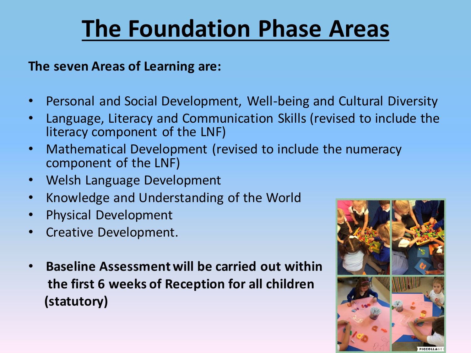#### **The Foundation Phase Areas**

**The seven Areas of Learning are:**

- Personal and Social Development, Well-being and Cultural Diversity
- Language, Literacy and Communication Skills (revised to include the literacy component of the LNF)
- Mathematical Development (revised to include the numeracy component of the LNF)
- Welsh Language Development
- Knowledge and Understanding of the World
- Physical Development
- Creative Development.
- **Baseline Assessment will be carried out within the first 6 weeks of Reception for all children (statutory)**

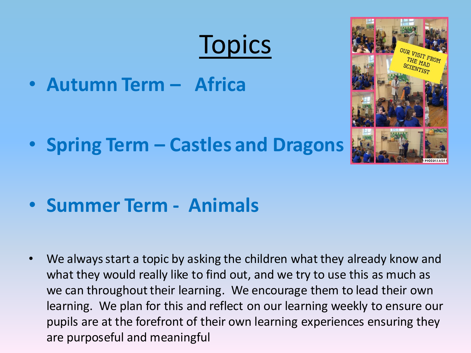# **Topics**

• **Autumn Term – Africa**

• **Spring Term – Castles and Dragons**

• **Summer Term - Animals**

• We always start a topic by asking the children what they already know and what they would really like to find out, and we try to use this as much as we can throughout their learning. We encourage them to lead their own learning. We plan for this and reflect on our learning weekly to ensure our pupils are at the forefront of their own learning experiences ensuring they are purposeful and meaningful

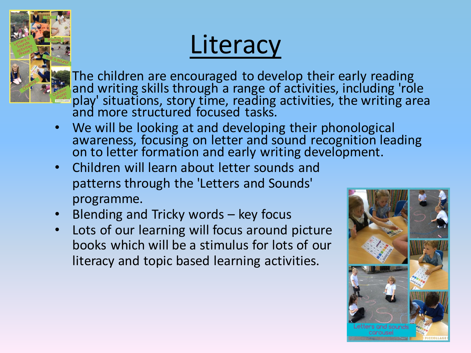

#### **Literacy**

The children are encouraged to develop their early reading and writing skills through a range of activities, including 'role play' situations, story time, reading activities, the writing area and more structured focused tasks.

- We will be looking at and developing their phonological awareness, focusing on letter and sound recognition leading on to letter formation and early writing development.
- Children will learn about letter sounds and patterns through the 'Letters and Sounds' programme.
- Blending and Tricky words key focus
- Lots of our learning will focus around picture books which will be a stimulus for lots of our literacy and topic based learning activities.

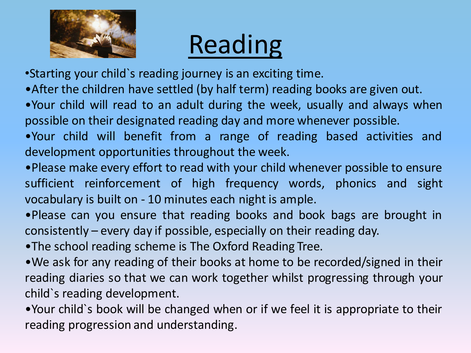

# Reading

•Starting your child`s reading journey is an exciting time.

- •After the children have settled (by half term) reading books are given out.
- •Your child will read to an adult during the week, usually and always when possible on their designated reading day and more whenever possible.
- •Your child will benefit from a range of reading based activities and development opportunities throughout the week.
- •Please make every effort to read with your child whenever possible to ensure sufficient reinforcement of high frequency words, phonics and sight vocabulary is built on - 10 minutes each night is ample.
- •Please can you ensure that reading books and book bags are brought in consistently – every day if possible, especially on their reading day.
- •The school reading scheme is The Oxford Reading Tree.
- •We ask for any reading of their books at home to be recorded/signed in their reading diaries so that we can work together whilst progressing through your child`s reading development.
- •Your child`s book will be changed when or if we feel it is appropriate to their reading progression and understanding.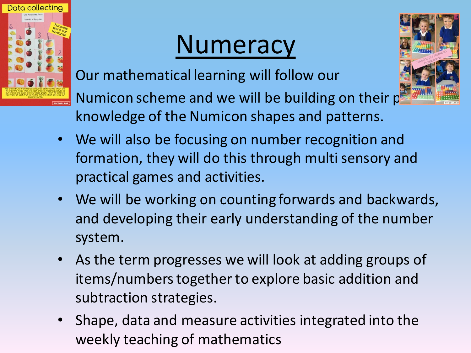

### **Numeracy**

• Our mathematical learning will follow our

Numicon scheme and we will be building on their p knowledge of the Numicon shapes and patterns.

- We will also be focusing on number recognition and formation, they will do this through multi sensory and practical games and activities.
- We will be working on counting forwards and backwards, and developing their early understanding of the number system.
- As the term progresses we will look at adding groups of items/numbers together to explore basic addition and subtraction strategies.
- Shape, data and measure activities integrated into the weekly teaching of mathematics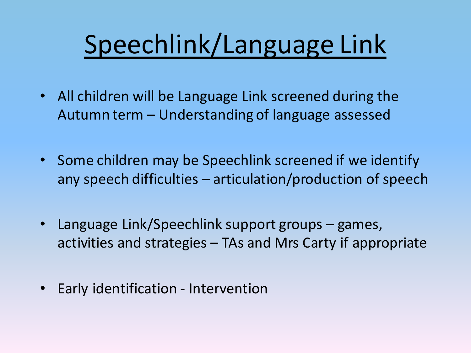# Speechlink/Language Link

- All children will be Language Link screened during the Autumn term – Understanding of language assessed
- Some children may be Speechlink screened if we identify any speech difficulties – articulation/production of speech
- Language Link/Speechlink support groups games, activities and strategies – TAs and Mrs Carty if appropriate
- Early identification Intervention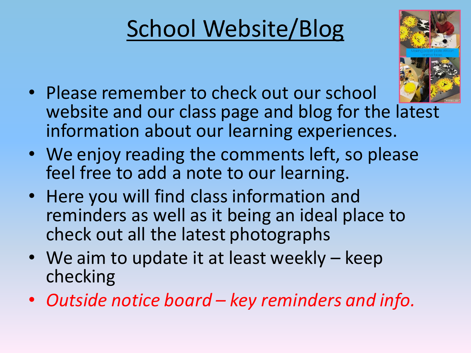## School Website/Blog



- Please remember to check out our school website and our class page and blog for the latest information about our learning experiences.
- We enjoy reading the comments left, so please feel free to add a note to our learning.
- Here you will find class information and reminders as well as it being an ideal place to check out all the latest photographs
- We aim to update it at least weekly keep checking
- *Outside notice board – key reminders and info.*